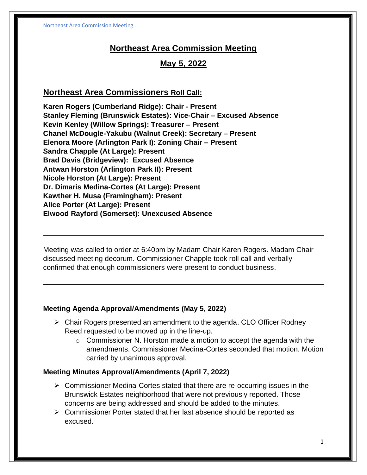# **Northeast Area Commission Meeting**

# **May 5, 2022**

## **Northeast Area Commissioners Roll Call:**

**Karen Rogers (Cumberland Ridge): Chair - Present Stanley Fleming (Brunswick Estates): Vice-Chair – Excused Absence Kevin Kenley (Willow Springs): Treasurer – Present Chanel McDougle-Yakubu (Walnut Creek): Secretary – Present Elenora Moore (Arlington Park I): Zoning Chair – Present Sandra Chapple (At Large): Present Brad Davis (Bridgeview): Excused Absence Antwan Horston (Arlington Park II): Present Nicole Horston (At Large): Present Dr. Dimaris Medina-Cortes (At Large): Present Kawther H. Musa (Framingham): Present Alice Porter (At Large): Present Elwood Rayford (Somerset): Unexcused Absence**

Meeting was called to order at 6:40pm by Madam Chair Karen Rogers. Madam Chair discussed meeting decorum. Commissioner Chapple took roll call and verbally confirmed that enough commissioners were present to conduct business.

#### **Meeting Agenda Approval/Amendments (May 5, 2022)**

- ➢ Chair Rogers presented an amendment to the agenda. CLO Officer Rodney Reed requested to be moved up in the line-up.
	- $\circ$  Commissioner N. Horston made a motion to accept the agenda with the amendments. Commissioner Medina-Cortes seconded that motion. Motion carried by unanimous approval.

#### **Meeting Minutes Approval/Amendments (April 7, 2022)**

- ➢ Commissioner Medina-Cortes stated that there are re-occurring issues in the Brunswick Estates neighborhood that were not previously reported. Those concerns are being addressed and should be added to the minutes.
- ➢ Commissioner Porter stated that her last absence should be reported as excused.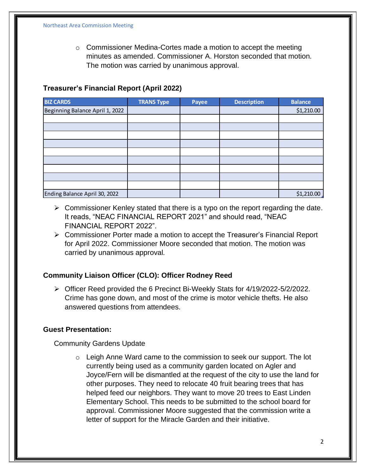$\circ$  Commissioner Medina-Cortes made a motion to accept the meeting minutes as amended. Commissioner A. Horston seconded that motion. The motion was carried by unanimous approval.

### **Treasurer's Financial Report (April 2022)**

| <b>BIZ CARDS</b>                | <b>TRANS Type</b> | <b>Payee</b> | <b>Description</b> | <b>Balance</b> |
|---------------------------------|-------------------|--------------|--------------------|----------------|
| Beginning Balance April 1, 2022 |                   |              |                    | \$1,210.00     |
|                                 |                   |              |                    |                |
|                                 |                   |              |                    |                |
|                                 |                   |              |                    |                |
|                                 |                   |              |                    |                |
|                                 |                   |              |                    |                |
|                                 |                   |              |                    |                |
|                                 |                   |              |                    |                |
|                                 |                   |              |                    |                |
|                                 |                   |              |                    |                |
| Ending Balance April 30, 2022   |                   |              |                    | \$1,210.00     |

- $\triangleright$  Commissioner Kenley stated that there is a typo on the report regarding the date. It reads, "NEAC FINANCIAL REPORT 2021" and should read, "NEAC FINANCIAL REPORT 2022".
- ➢ Commissioner Porter made a motion to accept the Treasurer's Financial Report for April 2022. Commissioner Moore seconded that motion. The motion was carried by unanimous approval.

#### **Community Liaison Officer (CLO): Officer Rodney Reed**

➢ Officer Reed provided the 6 Precinct Bi-Weekly Stats for 4/19/2022-5/2/2022. Crime has gone down, and most of the crime is motor vehicle thefts. He also answered questions from attendees.

#### **Guest Presentation:**

Community Gardens Update

 $\circ$  Leigh Anne Ward came to the commission to seek our support. The lot currently being used as a community garden located on Agler and Joyce/Fern will be dismantled at the request of the city to use the land for other purposes. They need to relocate 40 fruit bearing trees that has helped feed our neighbors. They want to move 20 trees to East Linden Elementary School. This needs to be submitted to the school board for approval. Commissioner Moore suggested that the commission write a letter of support for the Miracle Garden and their initiative.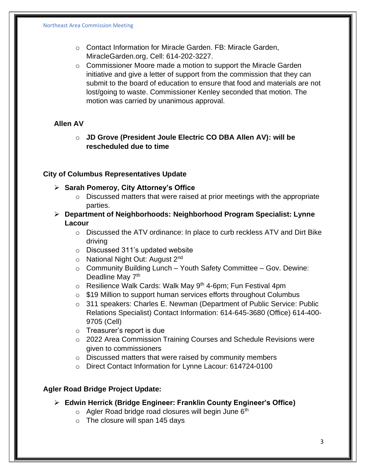- o Contact Information for Miracle Garden. FB: Miracle Garden, MiracleGarden.org, Cell: 614-202-3227.
- o Commissioner Moore made a motion to support the Miracle Garden initiative and give a letter of support from the commission that they can submit to the board of education to ensure that food and materials are not lost/going to waste. Commissioner Kenley seconded that motion. The motion was carried by unanimous approval.

## **Allen AV**

o **JD Grove (President Joule Electric CO DBA Allen AV): will be rescheduled due to time**

### **City of Columbus Representatives Update**

- ➢ **Sarah Pomeroy, City Attorney's Office** 
	- $\circ$  Discussed matters that were raised at prior meetings with the appropriate parties.
- ➢ **Department of Neighborhoods: Neighborhood Program Specialist: Lynne Lacour**
	- $\circ$  Discussed the ATV ordinance: In place to curb reckless ATV and Dirt Bike driving
	- o Discussed 311's updated website
	- $\circ$  National Night Out: August 2<sup>nd</sup>
	- $\circ$  Community Building Lunch Youth Safety Committee Gov. Dewine: Deadline May 7<sup>th</sup>
	- $\circ$  Resilience Walk Cards: Walk May 9<sup>th</sup> 4-6pm; Fun Festival 4pm
	- o \$19 Million to support human services efforts throughout Columbus
	- o 311 speakers: Charles E. Newman (Department of Public Service: Public Relations Specialist) Contact Information: 614-645-3680 (Office) 614-400- 9705 (Cell)
	- o Treasurer's report is due
	- o 2022 Area Commission Training Courses and Schedule Revisions were given to commissioners
	- o Discussed matters that were raised by community members
	- o Direct Contact Information for Lynne Lacour: 614724-0100

## **Agler Road Bridge Project Update:**

- ➢ **Edwin Herrick (Bridge Engineer: Franklin County Engineer's Office)**
	- $\circ$  Agler Road bridge road closures will begin June 6<sup>th</sup>
	- $\circ$  The closure will span 145 days